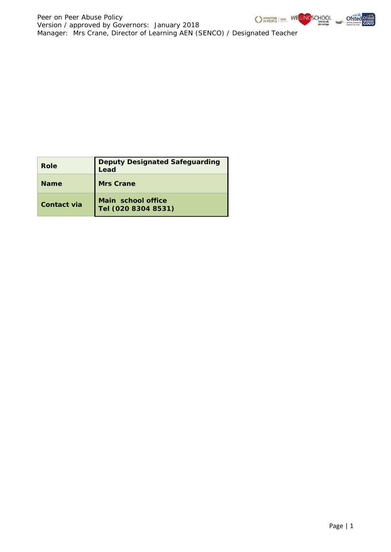

Ofsted

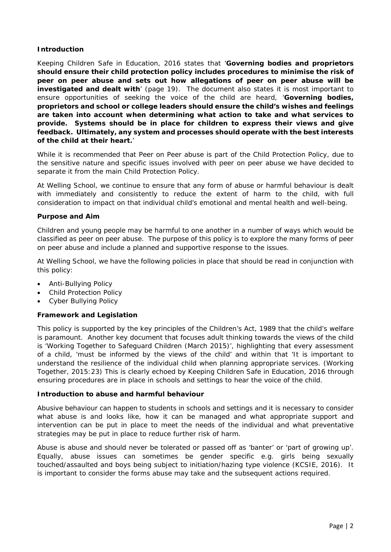## **Introduction**

Keeping Children Safe in Education, 2016 states that '*Governing bodies and proprietors should ensure their child protection policy includes procedures to minimise the risk of peer on peer abuse and sets out how allegations of peer on peer abuse will be investigated and dealt with*' (page 19). The document also states it is most important to ensure opportunities of seeking the voice of the child are heard, '*Governing bodies, proprietors and school or college leaders should ensure the child's wishes and feelings are taken into account when determining what action to take and what services to provide. Systems should be in place for children to express their views and give feedback. Ultimately, any system and processes should operate with the best interests of the child at their heart.*'

While it is recommended that Peer on Peer abuse is part of the Child Protection Policy, due to the sensitive nature and specific issues involved with peer on peer abuse we have decided to separate it from the main Child Protection Policy.

At Welling School, we continue to ensure that any form of abuse or harmful behaviour is dealt with immediately and consistently to reduce the extent of harm to the child, with full consideration to impact on that individual child's emotional and mental health and well-being.

## **Purpose and Aim**

Children and young people may be harmful to one another in a number of ways which would be classified as peer on peer abuse. The purpose of this policy is to explore the many forms of peer on peer abuse and include a planned and supportive response to the issues.

At Welling School, we have the following policies in place that should be read in conjunction with this policy:

- Anti-Bullying Policy
- Child Protection Policy
- Cyber Bullying Policy

#### **Framework and Legislation**

This policy is supported by the key principles of the Children's Act, 1989 that the child's welfare is paramount. Another key document that focuses adult thinking towards the views of the child is 'Working Together to Safeguard Children (March 2015)', highlighting that every assessment of a child, 'must be informed by the views of the child' and within that 'It is important to understand the resilience of the individual child when planning appropriate services. (Working Together, 2015:23) This is clearly echoed by Keeping Children Safe in Education, 2016 through ensuring procedures are in place in schools and settings to hear the voice of the child.

#### **Introduction to abuse and harmful behaviour**

Abusive behaviour can happen to students in schools and settings and it is necessary to consider what abuse is and looks like, how it can be managed and what appropriate support and intervention can be put in place to meet the needs of the individual and what preventative strategies may be put in place to reduce further risk of harm.

Abuse is abuse and should never be tolerated or passed off as 'banter' or 'part of growing up'. Equally, abuse issues can sometimes be gender specific e.g. girls being sexually touched/assaulted and boys being subject to initiation/hazing type violence (KCSIE, 2016). It is important to consider the forms abuse may take and the subsequent actions required.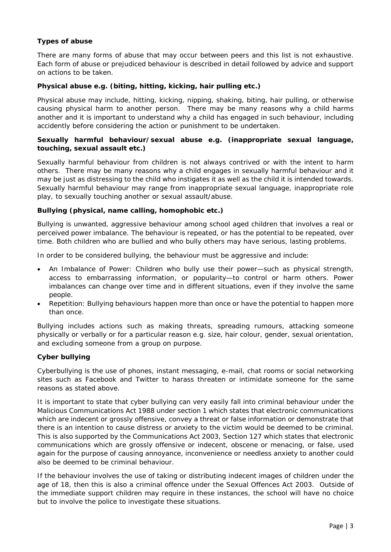# **Types of abuse**

There are many forms of abuse that may occur between peers and this list is not exhaustive. Each form of abuse or prejudiced behaviour is described in detail followed by advice and support on actions to be taken.

## **Physical abuse e.g. (biting, hitting, kicking, hair pulling etc.)**

Physical abuse may include, hitting, kicking, nipping, shaking, biting, hair pulling, or otherwise causing physical harm to another person. There may be many reasons why a child harms another and it is important to understand why a child has engaged in such behaviour, including accidently before considering the action or punishment to be undertaken.

## **Sexually harmful behaviour/sexual abuse e.g. (inappropriate sexual language, touching, sexual assault etc.)**

Sexually harmful behaviour from children is not always contrived or with the intent to harm others. There may be many reasons why a child engages in sexually harmful behaviour and it may be just as distressing to the child who instigates it as well as the child it is intended towards. Sexually harmful behaviour may range from inappropriate sexual language, inappropriate role play, to sexually touching another or sexual assault/abuse.

## **Bullying (physical, name calling, homophobic etc.)**

Bullying is unwanted, aggressive behaviour among school aged children that involves a real or perceived power imbalance. The behaviour is repeated, or has the potential to be repeated, over time. Both children who are bullied and who bully others may have serious, lasting problems.

In order to be considered bullying, the behaviour must be aggressive and include:

- An Imbalance of Power: Children who bully use their power—such as physical strength, access to embarrassing information, or popularity—to control or harm others. Power imbalances can change over time and in different situations, even if they involve the same people.
- Repetition: Bullying behaviours happen more than once or have the potential to happen more than once.

Bullying includes actions such as making threats, spreading rumours, attacking someone physically or verbally or for a particular reason e.g. size, hair colour, gender, sexual orientation, and excluding someone from a group on purpose.

#### **Cyber bullying**

Cyberbullying is the use of phones, instant messaging, e-mail, chat rooms or social networking sites such as Facebook and Twitter to harass threaten or intimidate someone for the same reasons as stated above.

It is important to state that cyber bullying can very easily fall into criminal behaviour under the Malicious Communications Act 1988 under section 1 which states that electronic communications which are indecent or grossly offensive, convey a threat or false information or demonstrate that there is an intention to cause distress or anxiety to the victim would be deemed to be criminal. This is also supported by the Communications Act 2003, Section 127 which states that electronic communications which are grossly offensive or indecent, obscene or menacing, or false, used again for the purpose of causing annoyance, inconvenience or needless anxiety to another could also be deemed to be criminal behaviour.

If the behaviour involves the use of taking or distributing indecent images of children under the age of 18, then this is also a criminal offence under the Sexual Offences Act 2003. Outside of the immediate support children may require in these instances, the school will have no choice but to involve the police to investigate these situations.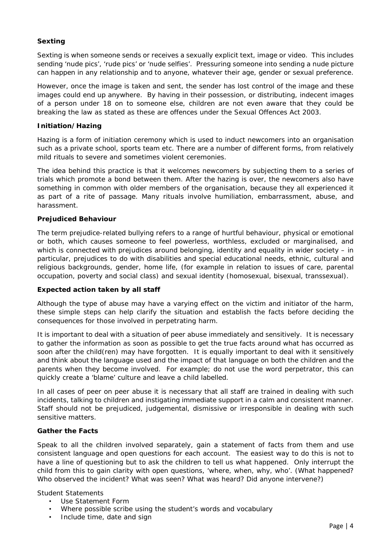## **Sexting**

Sexting is when someone sends or receives a sexually explicit text, image or video. This includes sending 'nude pics', 'rude pics' or 'nude selfies'. Pressuring someone into sending a nude picture can happen in any relationship and to anyone, whatever their age, gender or sexual preference.

However, once the image is taken and sent, the sender has lost control of the image and these images could end up anywhere. By having in their possession, or distributing, indecent images of a person under 18 on to someone else, children are not even aware that they could be breaking the law as stated as these are offences under the Sexual Offences Act 2003.

## **Initiation/Hazing**

Hazing is a form of initiation ceremony which is used to induct newcomers into an organisation such as a private school, sports team etc. There are a number of different forms, from relatively mild rituals to severe and sometimes violent ceremonies.

The idea behind this practice is that it welcomes newcomers by subjecting them to a series of trials which promote a bond between them. After the hazing is over, the newcomers also have something in common with older members of the organisation, because they all experienced it as part of a rite of passage. Many rituals involve humiliation, embarrassment, abuse, and harassment.

## **Prejudiced Behaviour**

The term prejudice-related bullying refers to a range of hurtful behaviour, physical or emotional or both, which causes someone to feel powerless, worthless, excluded or marginalised, and which is connected with prejudices around belonging, identity and equality in wider society – in particular, prejudices to do with disabilities and special educational needs, ethnic, cultural and religious backgrounds, gender, home life, (for example in relation to issues of care, parental occupation, poverty and social class) and sexual identity (homosexual, bisexual, transsexual).

## **Expected action taken by all staff**

Although the type of abuse may have a varying effect on the victim and initiator of the harm, these simple steps can help clarify the situation and establish the facts before deciding the consequences for those involved in perpetrating harm.

It is important to deal with a situation of peer abuse immediately and sensitively. It is necessary to gather the information as soon as possible to get the true facts around what has occurred as soon after the child(ren) may have forgotten. It is equally important to deal with it sensitively and think about the language used and the impact of that language on both the children and the parents when they become involved. For example; do not use the word perpetrator, this can quickly create a 'blame' culture and leave a child labelled.

In all cases of peer on peer abuse it is necessary that all staff are trained in dealing with such incidents, talking to children and instigating immediate support in a calm and consistent manner. Staff should not be prejudiced, judgemental, dismissive or irresponsible in dealing with such sensitive matters.

#### **Gather the Facts**

Speak to all the children involved separately, gain a statement of facts from them and use consistent language and open questions for each account. The easiest way to do this is not to have a line of questioning but to ask the children to tell us what happened. Only interrupt the child from this to gain clarity with open questions, 'where, when, why, who'. (What happened? Who observed the incident? What was seen? What was heard? Did anyone intervene?)

Student Statements

- Use Statement Form
- Where possible scribe using the student's words and vocabulary
- Include time, date and sign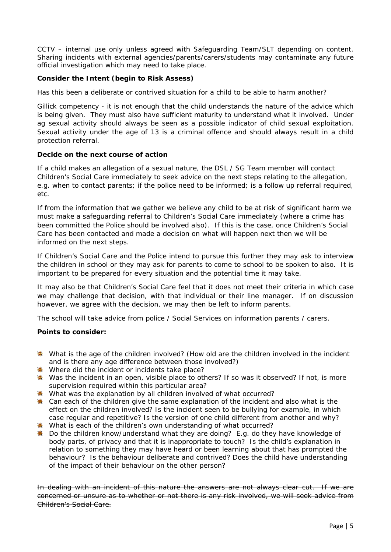CCTV – internal use only unless agreed with Safeguarding Team/SLT depending on content. Sharing incidents with external agencies/parents/carers/students may contaminate any future official investigation which may need to take place.

## **Consider the Intent (begin to Risk Assess)**

Has this been a deliberate or contrived situation for a child to be able to harm another?

Gillick competency - it is not enough that the child understands the nature of the advice which is being given. They must also have sufficient maturity to understand what it involved. Under ag sexual activity should always be seen as a possible indicator of child sexual exploitation. Sexual activity under the age of 13 is a criminal offence and should always result in a child protection referral.

## **Decide on the next course of action**

If a child makes an allegation of a sexual nature, the DSL / SG Team member will contact Children's Social Care immediately to seek advice on the next steps relating to the allegation, e.g. when to contact parents; if the police need to be informed; is a follow up referral required, etc.

If from the information that we gather we believe any child to be at risk of significant harm we must make a safeguarding referral to Children's Social Care immediately (where a crime has been committed the Police should be involved also). If this is the case, once Children's Social Care has been contacted and made a decision on what will happen next then we will be informed on the next steps.

If Children's Social Care and the Police intend to pursue this further they may ask to interview the children in school or they may ask for parents to come to school to be spoken to also. It is important to be prepared for every situation and the potential time it may take.

It may also be that Children's Social Care feel that it does not meet their criteria in which case we may challenge that decision, with that individual or their line manager. If on discussion however, we agree with the decision, we may then be left to inform parents.

The school will take advice from police / Social Services on information parents / carers.

## **Points to consider:**

- **\*** What is the age of the children involved? (How old are the children involved in the incident and is there any age difference between those involved?)
- Where did the incident or incidents take place?
- \* Was the incident in an open, visible place to others? If so was it observed? If not, is more supervision required within this particular area?
- What was the explanation by all children involved of what occurred?
- $*$  Can each of the children give the same explanation of the incident and also what is the effect on the children involved? Is the incident seen to be bullying for example, in which case regular and repetitive? Is the version of one child different from another and why?
- What is each of the children's own understanding of what occurred?
- Do the children know/understand what they are doing? E.g. do they have knowledge of body parts, of privacy and that it is inappropriate to touch? Is the child's explanation in relation to something they may have heard or been learning about that has prompted the behaviour? Is the behaviour deliberate and contrived? Does the child have understanding of the impact of their behaviour on the other person?

In dealing with an incident of this nature the answers are not always clear cut. If we are concerned or unsure as to whether or not there is any risk involved, we will seek advice from Children's Social Care.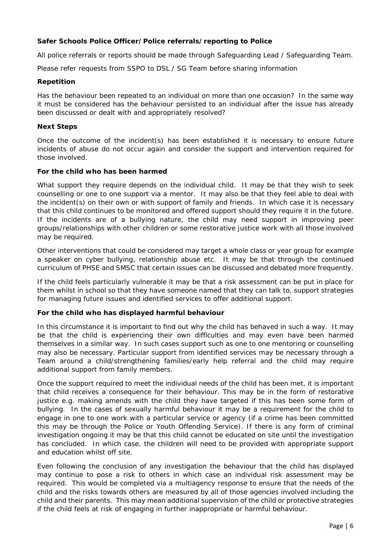## **Safer Schools Police Officer/Police referrals/reporting to Police**

All police referrals or reports should be made through Safeguarding Lead / Safeguarding Team.

Please refer requests from SSPO to DSL / SG Team before sharing information

### **Repetition**

Has the behaviour been repeated to an individual on more than one occasion? In the same way it must be considered has the behaviour persisted to an individual after the issue has already been discussed or dealt with and appropriately resolved?

## **Next Steps**

Once the outcome of the incident(s) has been established it is necessary to ensure future incidents of abuse do not occur again and consider the support and intervention required for those involved.

## **For the child who has been harmed**

What support they require depends on the individual child. It may be that they wish to seek counselling or one to one support via a mentor. It may also be that they feel able to deal with the incident(s) on their own or with support of family and friends. In which case it is necessary that this child continues to be monitored and offered support should they require it in the future. If the incidents are of a bullying nature, the child may need support in improving peer groups/relationships with other children or some restorative justice work with all those involved may be required.

Other interventions that could be considered may target a whole class or year group for example a speaker on cyber bullying, relationship abuse etc. It may be that through the continued curriculum of PHSE and SMSC that certain issues can be discussed and debated more frequently.

If the child feels particularly vulnerable it may be that a risk assessment can be put in place for them whilst in school so that they have someone named that they can talk to, support strategies for managing future issues and identified services to offer additional support.

## **For the child who has displayed harmful behaviour**

In this circumstance it is important to find out why the child has behaved in such a way. It may be that the child is experiencing their own difficulties and may even have been harmed themselves in a similar way. In such cases support such as one to one mentoring or counselling may also be necessary. Particular support from identified services may be necessary through a Team around a child/strengthening families/early help referral and the child may require additional support from family members.

Once the support required to meet the individual needs of the child has been met, it is important that child receives a consequence for their behaviour. This may be in the form of restorative justice e.g. making amends with the child they have targeted if this has been some form of bullying. In the cases of sexually harmful behaviour it may be a requirement for the child to engage in one to one work with a particular service or agency (if a crime has been committed this may be through the Police or Youth Offending Service). If there is any form of criminal investigation ongoing it may be that this child cannot be educated on site until the investigation has concluded. In which case, the children will need to be provided with appropriate support and education whilst off site.

Even following the conclusion of any investigation the behaviour that the child has displayed may continue to pose a risk to others in which case an individual risk assessment may be required. This would be completed via a multiagency response to ensure that the needs of the child and the risks towards others are measured by all of those agencies involved including the child and their parents. This may mean additional supervision of the child or protective strategies if the child feels at risk of engaging in further inappropriate or harmful behaviour.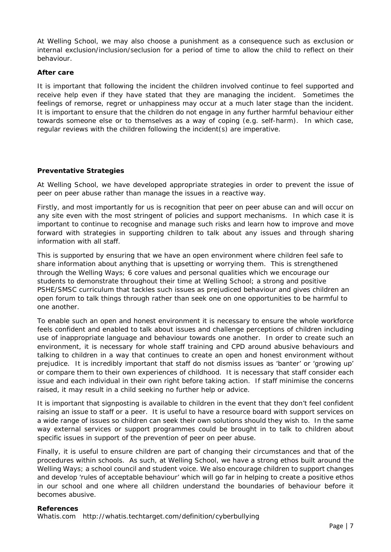At Welling School, we may also choose a punishment as a consequence such as exclusion or internal exclusion/inclusion/seclusion for a period of time to allow the child to reflect on their behaviour.

### **After care**

It is important that following the incident the children involved continue to feel supported and receive help even if they have stated that they are managing the incident. Sometimes the feelings of remorse, regret or unhappiness may occur at a much later stage than the incident. It is important to ensure that the children do not engage in any further harmful behaviour either towards someone else or to themselves as a way of coping (e.g. self-harm). In which case, regular reviews with the children following the incident(s) are imperative.

## **Preventative Strategies**

At Welling School, we have developed appropriate strategies in order to prevent the issue of peer on peer abuse rather than manage the issues in a reactive way.

Firstly, and most importantly for us is recognition that peer on peer abuse can and will occur on any site even with the most stringent of policies and support mechanisms. In which case it is important to continue to recognise and manage such risks and learn how to improve and move forward with strategies in supporting children to talk about any issues and through sharing information with all staff.

This is supported by ensuring that we have an open environment where children feel safe to share information about anything that is upsetting or worrying them. This is strengthened through the Welling Ways; 6 core values and personal qualities which we encourage our students to demonstrate throughout their time at Welling School; a strong and positive PSHE/SMSC curriculum that tackles such issues as prejudiced behaviour and gives children an open forum to talk things through rather than seek one on one opportunities to be harmful to one another.

To enable such an open and honest environment it is necessary to ensure the whole workforce feels confident and enabled to talk about issues and challenge perceptions of children including use of inappropriate language and behaviour towards one another. In order to create such an environment, it is necessary for whole staff training and CPD around abusive behaviours and talking to children in a way that continues to create an open and honest environment without prejudice. It is incredibly important that staff do not dismiss issues as 'banter' or 'growing up' or compare them to their own experiences of childhood. It is necessary that staff consider each issue and each individual in their own right before taking action. If staff minimise the concerns raised, it may result in a child seeking no further help or advice.

It is important that signposting is available to children in the event that they don't feel confident raising an issue to staff or a peer. It is useful to have a resource board with support services on a wide range of issues so children can seek their own solutions should they wish to. In the same way external services or support programmes could be brought in to talk to children about specific issues in support of the prevention of peer on peer abuse.

Finally, it is useful to ensure children are part of changing their circumstances and that of the procedures within schools. As such, at Welling School, we have a strong ethos built around the Welling Ways; a school council and student voice. We also encourage children to support changes and develop 'rules of acceptable behaviour' which will go far in helping to create a positive ethos in our school and one where all children understand the boundaries of behaviour before it becomes abusive.

#### **References**

Whatis.com http://whatis.techtarget.com/definition/cyberbullying